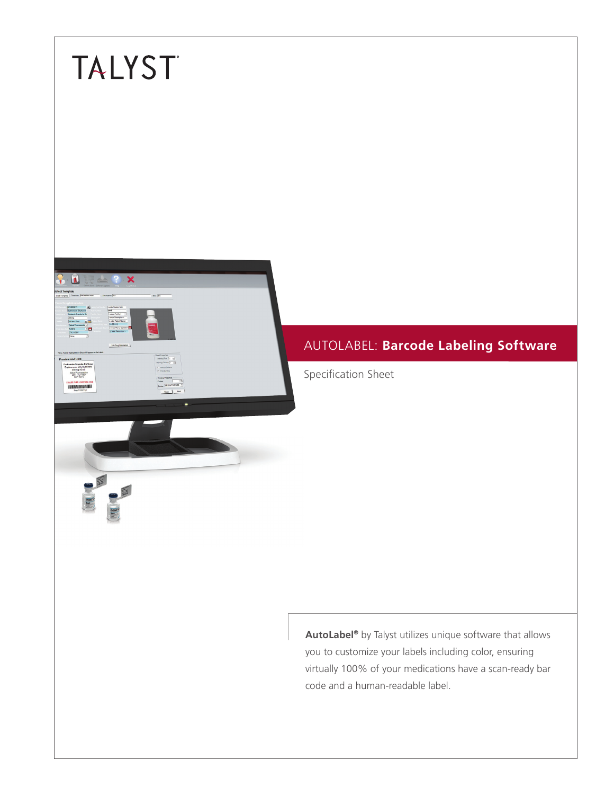